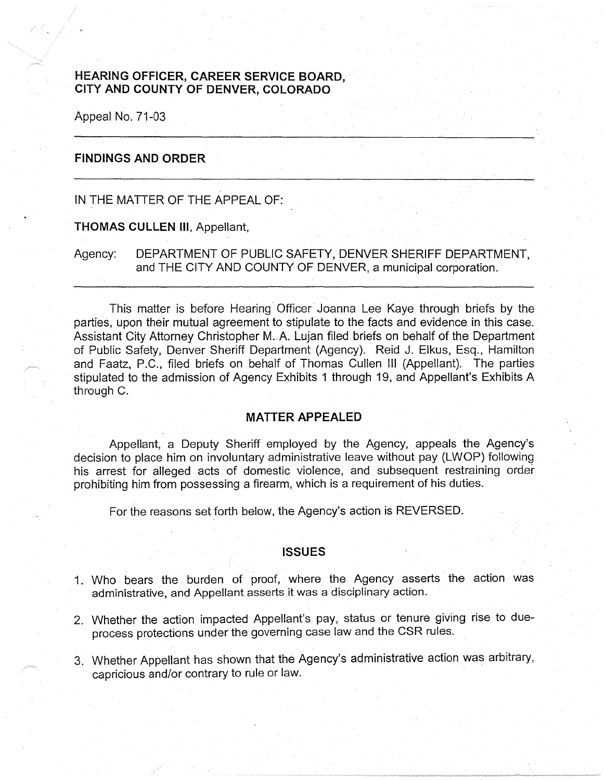## **HEARING OFFICER, CAREER SERVICE BOARD,** · **CITY AND COUNTY OF DENVER, COLORADO**

Appeal No. 71-03

## **FINDINGS AND ORDER**

## IN THE MATTER OF THE APPEAL OF:

**THOMAS CULLEN 111,** Appellant,

Agency: DEPARTMENT OF PUBLIC SAFETY, DENVER SHERIFF DEPARTMENT, and THE CITY AND COUNTY OF DENVER, a municipal corporation.

This matter is before Hearing Officer Joanna Lee Kaye through briefs by the parties, upon their mutual agreement to stipulate to the facts and evidence in this case. Assistant City Attorney Christopher M: A. Lujan filed briefs on behalf of the Department of Public Safety, Denver Sheriff Department (Agency). Reid J. Elkus, Esq., Hamilton and Faatz, P.C., filed briefs on behalf of Thomas Cullen Ill (Appellant). The parties stipulated to the admission of Agency Exhibits 1 through 19, and Appellant's Exhibits A through C. .

## **MATTER APPEALED**

Appellant, a Deputy Sheriff employed by the Agency, appeals the Agency's decision to place him on involuntary administrative leave without pay (LWOP) following his arrest for alleged acts of domestic violence, and subsequent restraining order prohibiting him from possessing a firearm, which is a requirement of his duties.

For the reasons set forth below, the Agency's action is REVERSED.

### **ISSUES**

- 1. Who bears the burden of proof, where the Agency asserts the action was administrative, and Appellant asserts it was a disciplinary action.
- 2. Whether the action impacted Appellant's pay, status or tenure giving rise to dueprocess protections under the governing case law and the CSR rules.
- 3. Whether Appellant has shown that the Agency's administrative action was arbitrary, capricious and/or contrary to rule or law.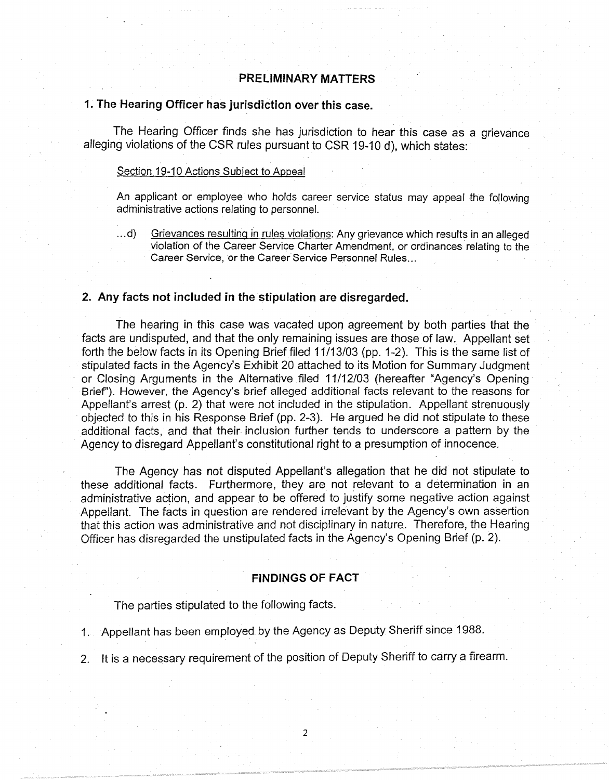# **PRELIMINARY MATTERS**

## **1. The Hearing Officer has jurisdiction over this case.**

The Hearing Officer finds she has jurisdiction to hear this case as a grievance alleging violations of the CSR rules pursuant to CSR 19-10 d), which states:

#### Section 19-10 Actions Subject to Appeal

An applicant or employee who holds career service status may appeal the following administrative actions relating to personnel.

... d) Grievances resulting in rules violations: Any grievance which results in an alleged violation of the Career Service Charter Amendment, or ordinances relating to the Career Service, or the Career Service Personnel Rules ...

## **2. Any facts not included in the stipulation are disregarded.**

The hearing in this case was vacated upon agreement by both parties that the facts are undisputed, and that the only remaining issues are those of law. Appellant set forth the below facts in its Opening Brief filed 11/13/03 (pp. 1-2). This is the same list of stipulated facts in the Agency's Exhibit 20 attached to its Motion for Summary Judgment or Closing Arguments in the Alternative filed 11 /12/03 (hereafter "Agency's Opening Brief'). However, the Agency's brief alleged additional facts relevant to the reasons for Appellant's arrest (p. 2) that were not included in the stipulation. Appellant strenuously · objected to this in his Response Brief (pp. 2-3). He argued he did not stipulate to these additional facts, and that their inclusion further tends to underscore a pattern by the Agency to disregard Appellant's constitutional right to a presumption of innocence.

The Agency has not disputed Appellant's allegation that he did not stipulate to these additional facts. Furthermore, they are not relevant to a determination in an administrative action, and appear to be offered to justify some negative action against Appellant. The facts in question are rendered irrelevant by the Agency's own assertion that this action was administrative and not disciplinary in nature. Therefore, the Hearing Officer has disregarded the unstipulated facts in the Agency's Opening Brief (p. 2).

### **FINDINGS OF FACT**

The parties stipulated to the following facts.

- 1. Appellant has been employed by the Agency as Deputy Sheriff since 1988.
- 2. It is a necessary requirement of the position of Deputy Sheriff to carry a firearm.

2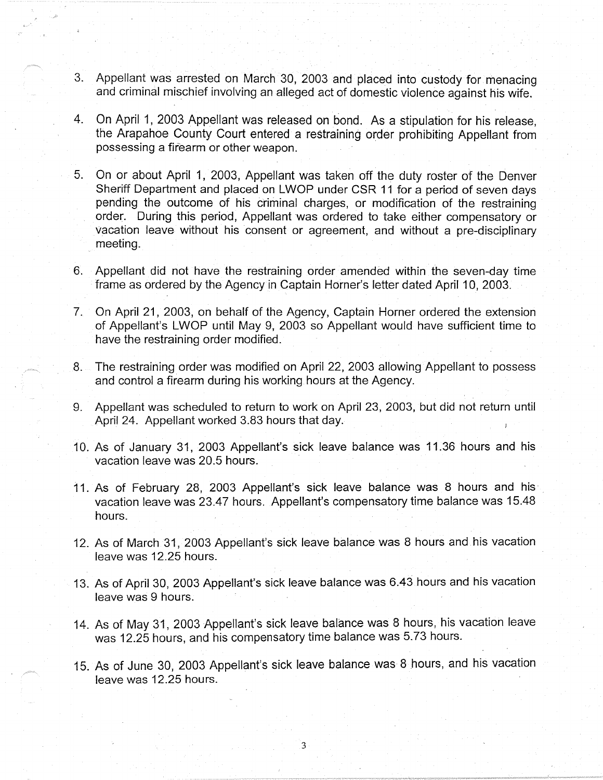- 3. Appellant was arrested on March 30, 2003 and placed into custody for menacing and criminal mischief involving an alleged act of domestic violence against his wife.
- 4. On April 1, 2003 Appellant was released on bond. As a stipulation for his release, the Arapahoe County Court entered a restraining order prohibiting Appellant from possessing a firearm or other weapon.
- 5. On or about April 1, 2003, Appellant was taken off the duty roster of the Denver Sheriff Department and placed on LWOP under CSR 11 for a period of seven days pending the outcome of his criminal charges, or modification of the restraining order. During this period, Appellant was ordered to take either compensatory or vacation leave without his consent or agreement, and without a pre-disciplinary . meeting.
- 6. Appellant did not have the restraining order amended within the seven-day time frame as ordered by the Agency in Captain Homer's letter dated April 10, 2003.
- 7. On April 21, 2003, on behalf of the Agency, Captain Horner ordered the extension of Appellant's LWOP until May 9, 2003 so Appellant would have sufficient time to have the restraining order modified.
- 8. The restraining order was modified on April 22, 2003 allowing Appellant to possess and control a firearm during his working hours at the Agency.
- 9. Appellant was scheduled to return to work on April 23, 2003, but did not return until April 24. Appellant worked 3.83 hours that day.
- 10. As of January 31, 2003 Appellant's sick leave balance was 11.36 hours and his vacation leave was 20.5 hours.
- 11. As of February 28, 2003 Appellant's sick leave balance was 8 hours and his· vacation leave was 23.47 hours. Appellant's compensatory time balance was 15.48 hours.
- 12. As of March 31, 2003 Appellant's sick leave balance was 8 hours and his vacation leave was 12.25 hours.
- 13. As of April 30, 2003 Appellant's sick leave balance was 6.43 hours and his vacation leave was 9 hours.
- 14. As of May 31, 2003 Appellant's sick leave balance was 8 hours, his vacation leave was 12.25 hours, and his compensatory time balance was 5.73 hours.
- 15. As of June 30, 2003 Appellant's sick leave balance was 8 hours, and his vacation leave was 12.25 hours.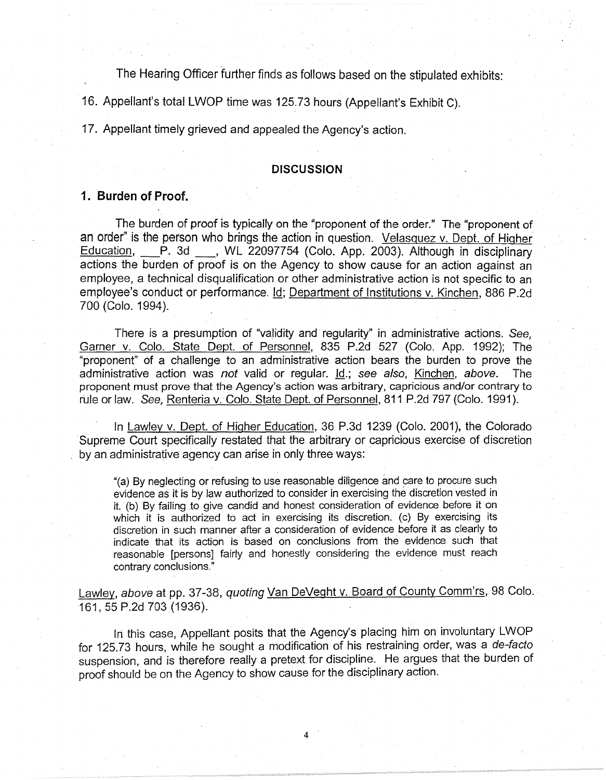The Hearing Officer further finds as follows based on the stipulated exhibits:

16. Appellant's total LWOP time was 125.73 hours (Appellant's Exhibit C).

17. Appellant timely grieved and appealed the Agency's action.

## **DISCUSSION**

# **1. Burden of Proof.**

The burden of proof is typically on the "proponent of the order." The "proponent of an order" is the person who brings the action in question. Velasquez v. Dept. of Higher Education, P. 3d \_, WL 22097754 (Colo. App. 2003). Although in disciplinary actions the burden of proof is on the Agency to show cause for an action against an employee, a technical disqualification or other administrative action is not specific to an employee's conduct or performance. Id; Department of Institutions v. Kinchen, 886 P.2d 700 (Colo. 1994).

There is a presumption of "validity and regularity" in administrative actions. See, Garner v. Colo. State Dept. of Personnel, 835 P.2d 527 (Colo. App. 1992); The "proponent" of a challenge to an administrative action bears the burden to prove the administrative action was not valid or regular. Id.; see also, Kinchen, above. The proponent must prove that the Agency's action was arbitrary, capricious and/or contrary to rule or law. See, Renteria v. Colo. State Dept. of Personnel, 811 P.2d 797 (Colo. 1991 ).

In Lawley v. Dept. of Higher Education, 36 P.3d 1239 (Colo. 2001), the Colorado Supreme Court specifically restated that the arbitrary or capricious exercise of discretion by an administrative agency can arise in only three ways:

"(a) By neglecting or refusing to use reasonable diligence and care to procure such evidence as it is by law authorized to consider in exercising the discretion vested in it. (b) By failing to give candid and honest consideration of evidence before it on which it is authorized to act in exercising its discretion. (c) By exercising its discretion in such manner after a consideration of evidence before it as clearly to indicate that its action is based on conclusions from the evidence such that reasonable [persons] fairly and honestly considering the evidence must reach contrary conclusions."

Lawley, above at pp. 37-38, quoting Van DeVeght v. Board of County Comm'rs, 98 Colo. 161, 55 P.2d 703 (1936).

In this case, Appellant posits that the Agency's placing him on involuntary LWOP for 125. 73 hours, while he sought a modification of his restraining order, was a de-facto suspension, and is therefore really a pretext for discipline. He argues that the burden of proof should be on the Agency to show cause for the disciplinary action.

4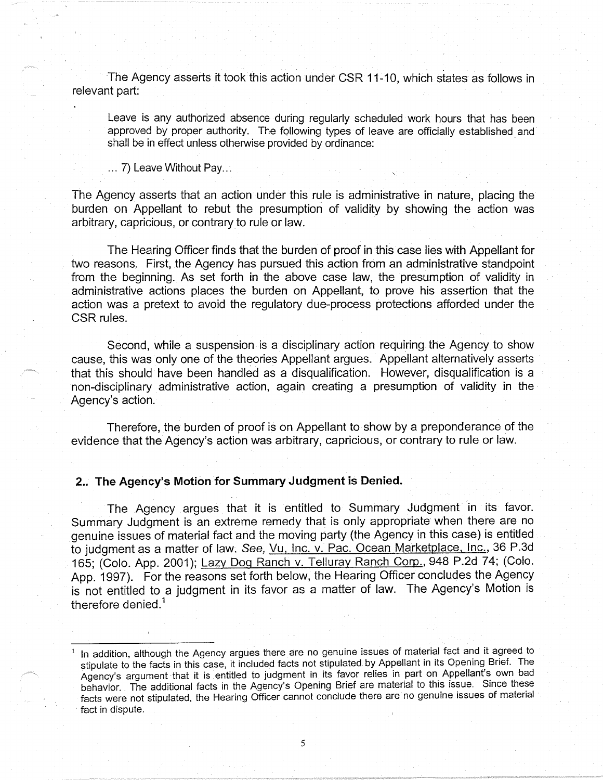The Agency asserts it took this action under CSR 11-10, which states as follows in relevant part:

Leave is any authorized absence during regularly scheduled work hours that has been approved by proper authority. The following types of leave are officially established and shall be in effect unless otherwise provided by ordinance:

... 7) Leave Without Pay...

The Agency asserts that an action· under this rule is administrative in nature, placing the burden on Appellant to rebut the presumption of validity by showing the action was arbitrary, capricious, or contrary to rule or law.

The Hearing Officer finds that the burden of proof in this case lies with Appellant for two reasons. First, the Agency has pursued this action from an administrative standpoint from the beginning. As set forth in the above case law, the presumption of validity in administrative actions places the burden on Appellant, to prove his assertion that the action was a pretext to avoid the regulatory due-process protections afforded under the CSR rules.

Second, while a suspension is a disciplinary action requiring the Agency to show cause, this was only one of the theories Appellant argues. Appellant alternatively asserts that this should have been handled as a disqualification. However, disqualification is a non-disciplinary administrative action, again creating a presumption of validity in the Agency's action.

Therefore, the burden of proof is on Appellant to show by a preponderance of the evidence that the Agency's action was arbitrary, capricious, or contrary to rule or law.

### **2 .. The Agency's Motion for Summary Judgment is Denied.**

The Agency argues that it is entitled to Summary Judgment in its favor. Summary Judgment is an extreme remedy that is only appropriate when there are no genuine issues of material fact and the moving party (the Agency in this case) is entitled to judgment as a matter of law. See, Vu, Inc. v. Pac. Ocean Marketplace, Inc., 36 P.3d 165; (Colo. App. 2001); Lazy Dog Ranch v. Telluray Ranch Corp., 948 P.2d 74; (Colo. App. 1997). For the reasons set forth below, the Hearing Officer concludes the Agency is not entitled to a judgment in its favor as a matter of law. The Agency's Motion is therefore denied.<sup>1</sup>

In addition, although the Agency argues there are no genuine issues of material fact and it agreed to stipulate to the facts in this case, it included facts not stipulated by Appellant in its Opening Brief. The Agency's argument that it is entitled to judgment in its favor relies in part on Appellant's own bad behavior. The additional facts in the Agency's Opening Brief are material to this issue. Since these facts were not stipulated, the Hearing Officer cannot conclude there are no genuine issues of material fact in dispute.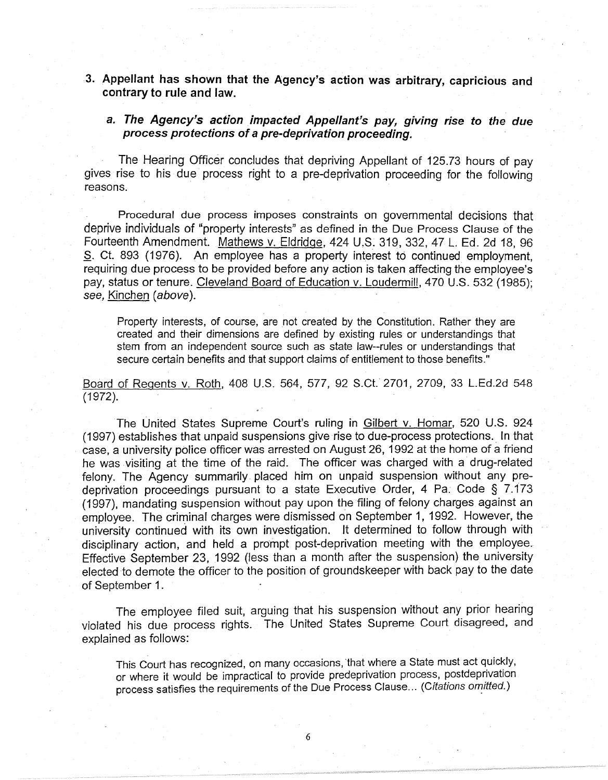# **3. Appellant has shown that the Agency's action was arbitrary, capricious and contrary to rule and law.**

# a. The Agency's action impacted Appellant's pay, giving rise to the due **process protections of a pre-deprivation proceeding.**

The Hearing Officer concludes that depriving Appellant of 125.73 hours of pay gives rise to his due process right to a pre-deprivation proceeding for the following reasons.

Procedural due process imposes constraints on governmental decisions that deprive individuals of "property interests" as defined in the Due Process Clause of the Fourteenth Amendment. Mathews v. Eldridge, 424 U,S. 319, 332, 47 L. Ed. 2d 18, 96 S. Ct. 893 (1976). An employee has a property interest to continued employment, requiring due process to be provided before any action is taken affecting the employee's pay, status or tenure. Cleveland Board of Education v. Loudermill, 470 U.S. 532 (1985); see, Kinchen (above).

Property interests, of course, are not created by the Constitution. Rather they are created and their dimensions are defined by existing rules or understandings that stem from an independent source such as state law--rules or understandings that secure certain benefits and that support claims of entitlement to those benefits."

Board of Regents v. Roth, 408 U.S. 564, 577, 92 S.Ct. 2701, 2709, 33 L.Ed.2d 548 (1972).

The United States Supreme Court's ruling in Gilbert v. Homar, 520 U.S. 924 (1997) establishes that unpaid suspensions give rise to due-process protections. In that case, a university police officer was arrested on August 26, 1992 at the home of a friend he was visiting at the time of the raid. The officer was charged with a· drug-related felony. The Agency summarily. placed him on unpaid suspension without any predeprivation proceedings pursuant to a state Executive Order, 4 Pa; Code § 7.173 (1997), mandating suspension without pay upon the filing of felony charges against an employee. The criminal charges were dismissed on September 1, 1992. However, the university continued with its own investigation. It determined to follow through with disciplinary action, and held a prompt post-deprivation meeting with the employee. Effective September 23, 1992 (less than a month after the suspension) the university elected to demote the officer to the position of groundskeeper with back pay to the date of September 1.

The employee filed suit, arguing that his suspension without any prior hearing violated his due process rights. The United States Supreme Court disagreed, and explained as follows:

This Court has recognized, on many occasions, that where a State must act quickly, or where it would be impractical to provide predeprivation process, postdeprivation process satisfies the requirements of the Due Process Clause ... (Citations omitted.)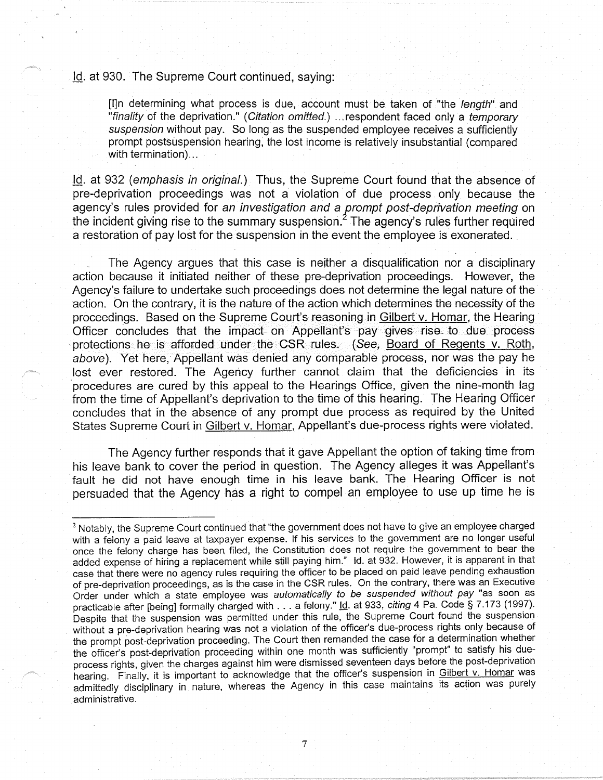Id. at 930. The Supreme Court continued, saying:

[I]n determining what process is due, account must be taken of "the length" and "finality of the deprivation." (Citation omitted.) ... respondent faced only a temporary suspension without pay. So long as the suspended employee receives a sufficiently prompt postsuspension hearing, the lost income is relatively insubstantial (compared with termination)...

Id. at 932 (emphasis in original.) Thus, the Supreme Court found that the absence of pre-deprivation proceedings was not a violation of due process only because the agency's rules provided for an investigation and a prompt post-deprivation meeting on the incident giving rise to the summary suspension.<sup>2</sup> The agency's rules further required a restoration of pay lost for the suspension in the event the employee is exonerated.

The Agency argues that this case is neither a disqualification nor a disciplinary action because it initiated neither of these pre-deprivation proceedings. However, the Agency's failure to undertake such proceedings does not determine the legal nature of the· action. On the contrary, it is the nature of the action which determines the necessity of the proceedings. Based on the Supreme Court's reasoning in Gilbert v. Hamar, the Hearing Officer concludes that the impact on Appellant's pay gives rise\_ to due process protections he is afforded under the CSR rules. (See, Board of Regents v. Roth, above). Yet here, Appellant was denied any comparable process, nor was the pay he lost ever restored. The Agency further cannot claim that the deficiencies in its procedures are cured by this appeal to the Hearings Office, given the nine-month lag from the time of Appellant's deprivation to the time of this hearing. The Hearing Officer concludes that in the absence of any prompt due process as required by the United States Supreme Court in Gilbert v. Homar, Appellant's due-process rights were violated.

The Agency further responds that it gave Appellant the option of taking time from his leave bank to cover the period in question. The Agency alleges it was Appellant's fault he did not have enough time in his leave bank. The Hearing Officer is not persuaded that the Agency has a right to compel an employee to use up time he is

<sup>&</sup>lt;sup>2</sup> Notably, the Supreme Court continued that "the government does not have to give an employee charged with a felony a paid leave at taxpayer expense. If his services to the government are no longer useful once the felony charge has been filed, the Constitution does not require the government to bear the added expense of hiring a replacement while still paying him." Id. at 932. However, it is apparent in that case that there were no agency rules requiring the officer to be placed on paid leave pending exhaustion of pre-deprivation proceedings, as is the case in the CSR rules. On the contrary, there was an Executive Order under which a state employee was automatically to be suspended without pay "as soon as practicable after [being] formally charged with . . . a felony." Id. at 933, citing 4 Pa. Code § 7.173 (1997). Despite that the suspension was permitted under this rule, the Supreme Court found the suspension without a pre-deprivation hearing was not a violation of the officer's due-process rights only because of the prompt post-deprivation proceeding. The Court then remanded the case for a determination whether the officer's post-deprivation proceeding within one month was sufficiently "prompt" to satisfy his dueprocess rights, given the charges against him were dismissed seventeen days before the post-deprivation hearing. Finally, it is important to acknowledge that the officer's suspension in Gilbert v. Homar was admittedly disciplinary in nature, whereas the Agency in this case maintains its action was purely administrative.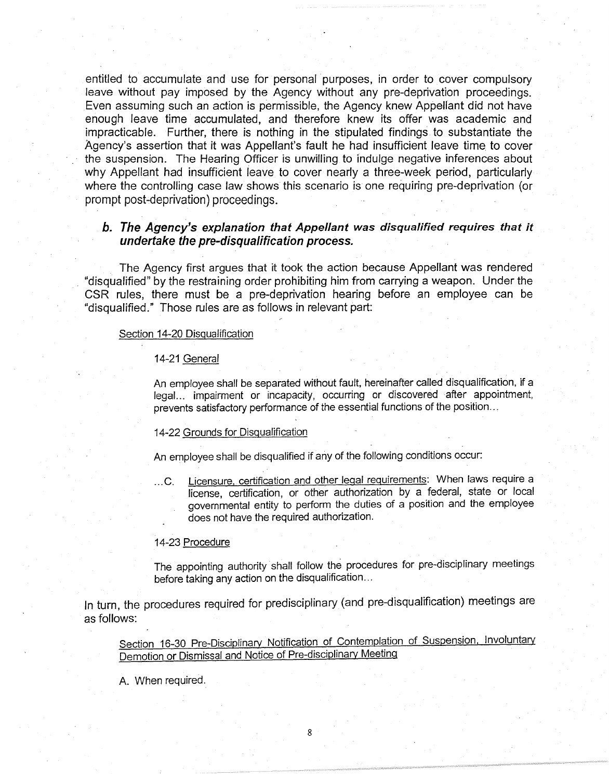entitled to accumulate and use for personal purposes, in order to cover compulsory leave without pay imposed by the Agency without any pre-deprivation proceedings. Even assuming such an action is permissible, the Agency knew Appellant did not have enough leave time accumulated, and therefore knew its offer was academic and impracticable. Further, there is nothing in the stipulated findings to substantiate the Agency's assertion that it was Appellant's fault he had insufficient leave time to cover the suspension. The Hearing Officer is unwilling to indulge negative inferences about why Appellant had insufficient leave to cover nearly a three-week period, particularly where the controlling case law shows this scenario is one requiring pre-deprivation (or prompt post-deprivation) proceedings.

## **b. The Agency's explanation that Appellant was disqualified requires that it undertake the pre-disqualification process.**

The Agency first argues that it took the action because Appellant was rendered "disqualified" by the restraining order prohibiting him from carrying a weapon. Under the CSR rules, there must be a pre-deprivation hearing before an employee can be "disqualified." Those rules are as follows in relevant part:

### Section 14-20 Disqualification

### 14-21 General

An employee shall be separated without fault, hereinafter called disqualification, if a legal... impairment or incapacity, occurring or discovered after appointment, prevents satisfactory performance of the essential functions of the position ...

#### 14-22 Grounds for Disqualification

An employee shall be disqualified if any of the following conditions occur:

... C. Licensure, certification and other legal requirements: When laws require a license, certification, or other authorization by a federal, state or local governmental entity to perform the duties of a position and the employee does not have the required authorization.

### 14-23 Procedure

The appointing authority shall follow the procedures for pre-disciplinary meetings before taking any action on the disqualification...

In turn, the procedures required for predisciplinary (and pre-disqualification) meetings are as follows:

Section 16-30 Pre-Disciplinary Notification of Contemplation of Suspension. Involuntary Demotion or Dismissal and Notice of Pre-disciplinary Meeting

A. When required.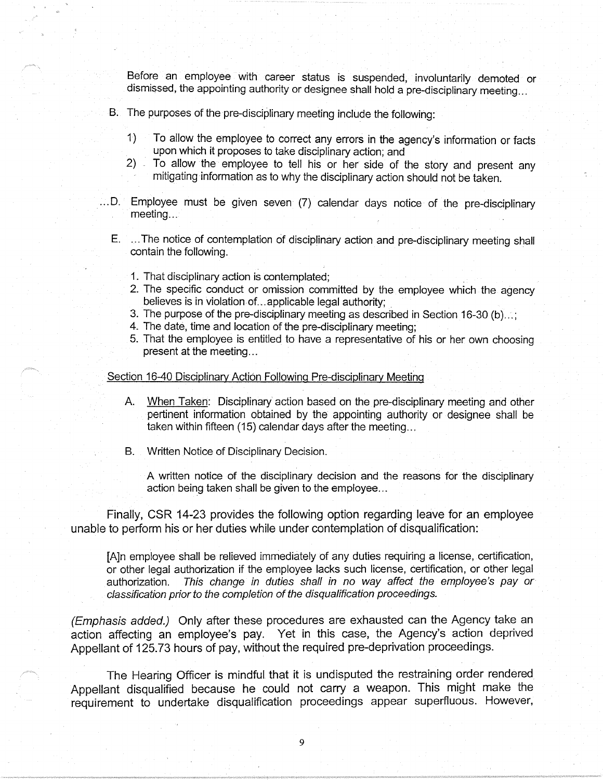Before an employee with career status is suspended, involuntarily demoted or dismissed, the appointing authority or designee shall hold a pre-disciplinary meeting ...

- B. The purposes of the pre-disciplinary meeting include the following:
	- 1) To allow the employee to correct any errors in the agency's information or facts upon which it proposes to take disciplinary action; and
	- 2) To allow the employee to tell his or her side of the story and present any mitigating information as to why the disciplinary action should not be taken .
- ...D. Employee must be given seven (7) calendar days notice of the pre-disciplinary meeting...
	- E. ... The notice of contemplation of disciplinary action and pre-disciplinary meeting shall contain the following.
		- 1. That disciplinary action is contemplated;
		- 2. The specific conduct or omission committed by the employee which the agency believes is in violation of ... applicable legal authority;
		- 3. The purpose of the pre-disciplinary meeting as described in Section 16-30 (b)...;
		- 4. The date, time and location of the pre-disciplinary meeting;
		- 5. That the employee is entitled to have a representative of his or her own choosing present at the meeting...

### Section 16-40 Disciplinary Action Following Pre-disciplinary Meeting

- A. When Taken: Disciplinary action based on the pre-disciplinary meeting and other pertinent information obtained by the appointing authority or designee shall be taken within fifteen (15) calendar days after the meeting...
- B. Written Notice of Disciplinary Decision.

A written notice of the disciplinary decision and the reasons for the disciplinary action being taken shall be given to the employee ...

Finally, CSR 14-23 provides the following option regarding leave for an employee unable to perform his or her duties while under contemplation of disqualification:

[A]n employee shall be relieved immediately of any duties requiring a license, certification, or other legal authorization if the employee lacks such license, certification, or other legal authorization. This change in duties shall in no way affect the employee's pay or classification prior to the completion of the disqualification proceedings.

(Emphasis added.) Only after these procedures are exhausted can the Agency take an action affecting an employee's pay. Yet in this case, the Agency's action deprived Appellant of 125.73 hours of pay, without the required pre-deprivation proceedings.

The Hearing Officer is mindful that it is undisputed the restraining order rendered Appellant disqualified because he could not carry a weapon. This might make the requirement to undertake disqualification proceedings appear superfluous. However,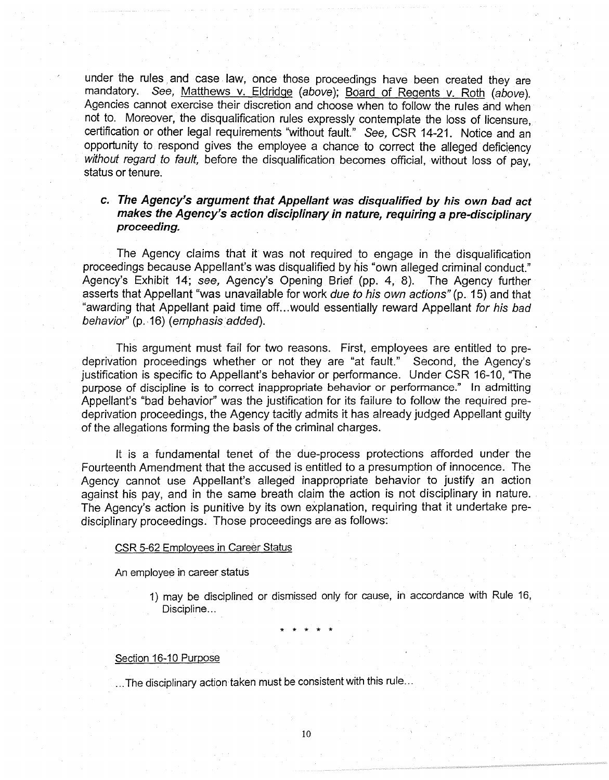under the rules and case law, once those proceedings have been created they are mandatory. See, Matthews v. Eldridge (above); Board of Regents v. Roth (above). Agencies cannot exercise their discretion and choose when to follow the rules and when not to. Moreover, the disqualification rules expressly contemplate the loss of licensure, certification or other legal requirements "without fault." See, CSR 14-21. Notice and an opportunity to respond gives the employee a chance to correct the alleged deficiency without regard to fault, before the disqualification becomes official, without loss of pay, status or tenure.

## **c. The Agency's argument that Appellant was disqualified by his own bad act makes the Agency's action disciplinary in nature, requiring a pre-disciplinary proceeding.**

The Agency claims that it was not required to engage in the disqualification proceedings because Appellant's was disqualified by his "own alleged criminal conduct." Agency's Exhibit 14; see, Agency's Opening Brief (pp. 4, 8). The Agency further asserts that Appellant "was unavailable for work due to his own actions" (p. 15) and that "awarding that Appellant paid time off... would essentially reward Appellant for his bad behavior" (p. 16) (emphasis added).

This argument must fail for two reasons. First, employees are entitled to predeprivation proceedings whether or not they are "at fault." Second, the Agency's justification is specific to Appellant's behavior or performance. Under CSR 16-10, 'The purpose of discipline is to correct inappropriate behavior or performance." In admitting Appellant's "bad behavior" was the justification for its failure to follow the required predeprivation proceedings, the Agency tacitly admits it has already judged Appellant guilty of the allegations forming the basis of the criminal charges.

It is a fundamental tenet of the due-process protections afforded under the Fourteenth Amendment that the accused is entitled to a presumption of innocence. The Agency cannot use Appellant's alleged inappropriate behavior to justify an action against his pay, and in the same breath claim the action is not disciplinary in nature. The Agency's action is punitive by its own explanation, requiring that it undertake predisciplinary proceedings. Those proceedings are as follows:

### CSR 5-62 Employees in Career Status

An employee in career status

1) may be disciplined or dismissed only for cause, in accordance with Rule 16, Discipline...

\* \* \* \* \*

### Section 16-10 Purpose

... The disciplinary action taken must be consistent with this rule ...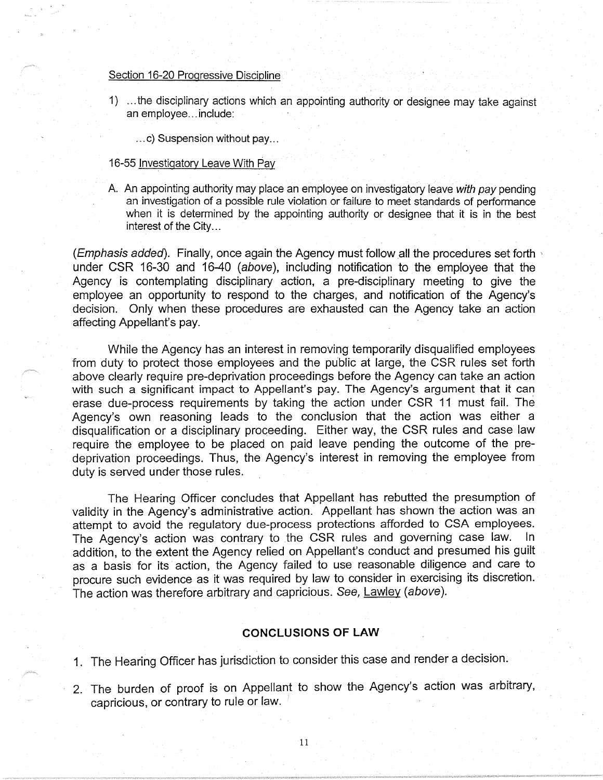### Section 16-20 Progressive Discipline

1) ... the disciplinary actions which an appointing authority or designee may take against an employee ... include:

... c) Suspension without pay...

### 16-55 Investigatory Leave With Pay

A. An appointing authority may place an employee on investigatory leave with pay pending an investigation of a possible rule violation or failure to meet standards of performance when it is determined by the appointing authority or designee that it is in the best interest of the City...

(Emphasis added). Finally, once again the Agency must follow all the procedures set forth , under CSR 16-30 and 16-40 (above), including notification to the employee that the Agency is contemplating disciplinary action, a pre-disciplinary meeting to give the employee an opportunity to respond to the charges, and notification of the Agency's decision. Only when these procedures are exhausted can the Agency take an action affecting Appellant's pay.

While the Agency has an interest in removing temporarily disqualified employees from duty to protect those employees and the public at large, the CSR rules set forth above clearly require pre-deprivation proceedings before the Agency can take an action with such a significant impact to Appellant's pay. The Agency's argument that it can erase due-process requirements by taking the action under CSR 11 must fail. The Agency's own reasoning leads to the conclusion that the action was either a disqualification or a disciplinary proceeding. Either way, the CSR rules and case law require the employee to be placed on paid leave pending the outcome of the predeprivation proceedings. Thus, the Agency's interest in removing the employee from duty is served under those rules.

The Hearing Officer concludes that Appellant has rebutted the presumption of validity in the Agency's administrative action. Appellant has shown the action was an attempt to avoid the regulatory due-process protections afforded to CSA employees. The Agency's action was contrary to the CSR rules and governing case law. In addition, to the extent the Agency relied on Appellant's conduct and presumed his guilt as a basis for its action, the Agency failed to use reasonable diligence and care to procure such evidence as it was required by law to consider in exercising its discretion. The action was therefore arbitrary and capricious. See, Lawley (above).

### **CONCLUSIONS OF LAW**

1. The Hearing Officer has jurisdiction to consider this case and render a decision.

2. The burden of proof is on Appellant to show the Agency's action was arbitrary, capricious, or contrary to rule or law.